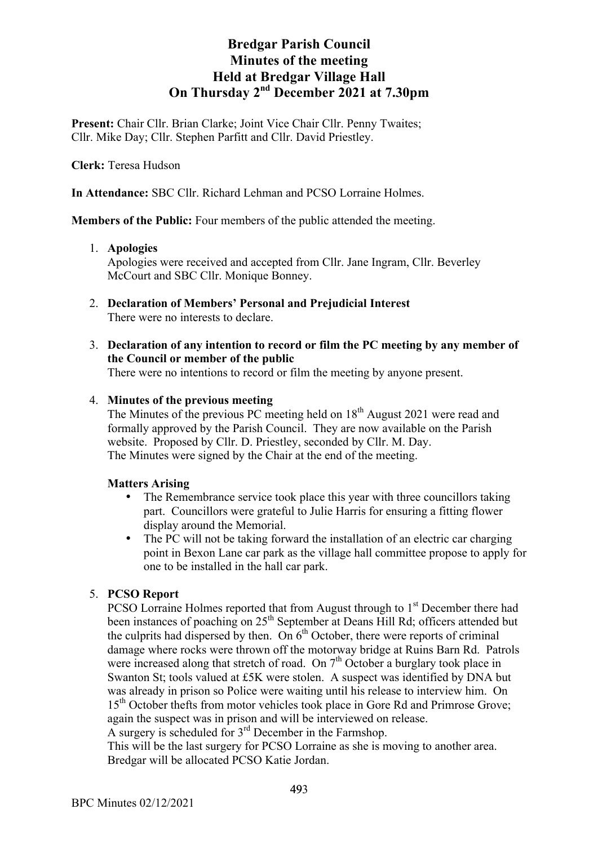Present: Chair Cllr. Brian Clarke; Joint Vice Chair Cllr. Penny Twaites; Cllr. Mike Day; Cllr. Stephen Parfitt and Cllr. David Priestley.

**Clerk:** Teresa Hudson

**In Attendance:** SBC Cllr. Richard Lehman and PCSO Lorraine Holmes.

**Members of the Public:** Four members of the public attended the meeting.

## 1. **Apologies**

Apologies were received and accepted from Cllr. Jane Ingram, Cllr. Beverley McCourt and SBC Cllr. Monique Bonney.

- 2. **Declaration of Members' Personal and Prejudicial Interest** There were no interests to declare.
- 3. **Declaration of any intention to record or film the PC meeting by any member of the Council or member of the public**

There were no intentions to record or film the meeting by anyone present.

## 4. **Minutes of the previous meeting**

The Minutes of the previous PC meeting held on 18<sup>th</sup> August 2021 were read and formally approved by the Parish Council. They are now available on the Parish website. Proposed by Cllr. D. Priestley, seconded by Cllr. M. Day. The Minutes were signed by the Chair at the end of the meeting.

## **Matters Arising**

- The Remembrance service took place this year with three councillors taking part. Councillors were grateful to Julie Harris for ensuring a fitting flower display around the Memorial.
- The PC will not be taking forward the installation of an electric car charging point in Bexon Lane car park as the village hall committee propose to apply for one to be installed in the hall car park.

## 5. **PCSO Report**

PCSO Lorraine Holmes reported that from August through to 1<sup>st</sup> December there had been instances of poaching on 25<sup>th</sup> September at Deans Hill Rd; officers attended but the culprits had dispersed by then. On  $6<sup>th</sup>$  October, there were reports of criminal damage where rocks were thrown off the motorway bridge at Ruins Barn Rd. Patrols were increased along that stretch of road. On  $7<sup>th</sup>$  October a burglary took place in Swanton St; tools valued at £5K were stolen. A suspect was identified by DNA but was already in prison so Police were waiting until his release to interview him. On 15<sup>th</sup> October thefts from motor vehicles took place in Gore Rd and Primrose Grove; again the suspect was in prison and will be interviewed on release. A surgery is scheduled for  $3<sup>rd</sup>$  December in the Farmshop.

This will be the last surgery for PCSO Lorraine as she is moving to another area. Bredgar will be allocated PCSO Katie Jordan.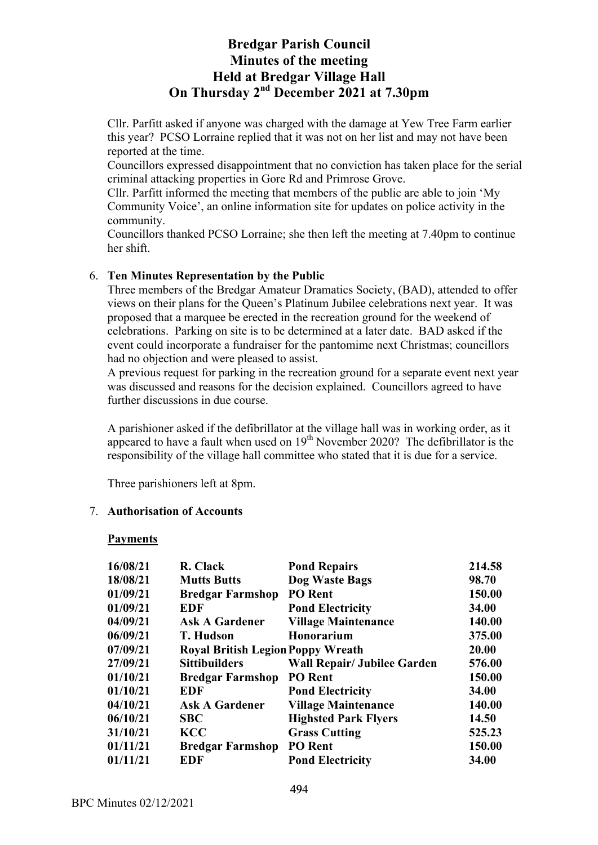Cllr. Parfitt asked if anyone was charged with the damage at Yew Tree Farm earlier this year? PCSO Lorraine replied that it was not on her list and may not have been reported at the time.

Councillors expressed disappointment that no conviction has taken place for the serial criminal attacking properties in Gore Rd and Primrose Grove.

Cllr. Parfitt informed the meeting that members of the public are able to join 'My Community Voice', an online information site for updates on police activity in the community.

Councillors thanked PCSO Lorraine; she then left the meeting at 7.40pm to continue her shift.

## 6. **Ten Minutes Representation by the Public**

Three members of the Bredgar Amateur Dramatics Society, (BAD), attended to offer views on their plans for the Queen's Platinum Jubilee celebrations next year. It was proposed that a marquee be erected in the recreation ground for the weekend of celebrations. Parking on site is to be determined at a later date. BAD asked if the event could incorporate a fundraiser for the pantomime next Christmas; councillors had no objection and were pleased to assist.

A previous request for parking in the recreation ground for a separate event next year was discussed and reasons for the decision explained. Councillors agreed to have further discussions in due course.

A parishioner asked if the defibrillator at the village hall was in working order, as it appeared to have a fault when used on  $19<sup>th</sup>$  November 2020? The defibrillator is the responsibility of the village hall committee who stated that it is due for a service.

Three parishioners left at 8pm.

### 7. **Authorisation of Accounts**

### **Payments**

| 16/08/21 | R. Clack                                 | <b>Pond Repairs</b>                | 214.58 |
|----------|------------------------------------------|------------------------------------|--------|
|          |                                          |                                    |        |
| 18/08/21 | <b>Mutts Butts</b>                       | Dog Waste Bags                     | 98.70  |
| 01/09/21 | <b>Bredgar Farmshop</b>                  | <b>PO</b> Rent                     | 150.00 |
| 01/09/21 | <b>EDF</b>                               | <b>Pond Electricity</b>            | 34.00  |
| 04/09/21 | <b>Ask A Gardener</b>                    | <b>Village Maintenance</b>         | 140.00 |
| 06/09/21 | <b>T. Hudson</b>                         | <b>Honorarium</b>                  | 375.00 |
| 07/09/21 | <b>Royal British Legion Poppy Wreath</b> |                                    | 20.00  |
| 27/09/21 | <b>Sittibuilders</b>                     | <b>Wall Repair/ Jubilee Garden</b> | 576.00 |
| 01/10/21 | <b>Bredgar Farmshop</b>                  | <b>PO</b> Rent                     | 150.00 |
| 01/10/21 | EDF                                      | <b>Pond Electricity</b>            | 34.00  |
| 04/10/21 | <b>Ask A Gardener</b>                    | <b>Village Maintenance</b>         | 140.00 |
| 06/10/21 | <b>SBC</b>                               | <b>Highsted Park Flyers</b>        | 14.50  |
| 31/10/21 | <b>KCC</b>                               | <b>Grass Cutting</b>               | 525.23 |
| 01/11/21 | <b>Bredgar Farmshop</b>                  | <b>PO</b> Rent                     | 150.00 |
| 01/11/21 | <b>EDF</b>                               | <b>Pond Electricity</b>            | 34.00  |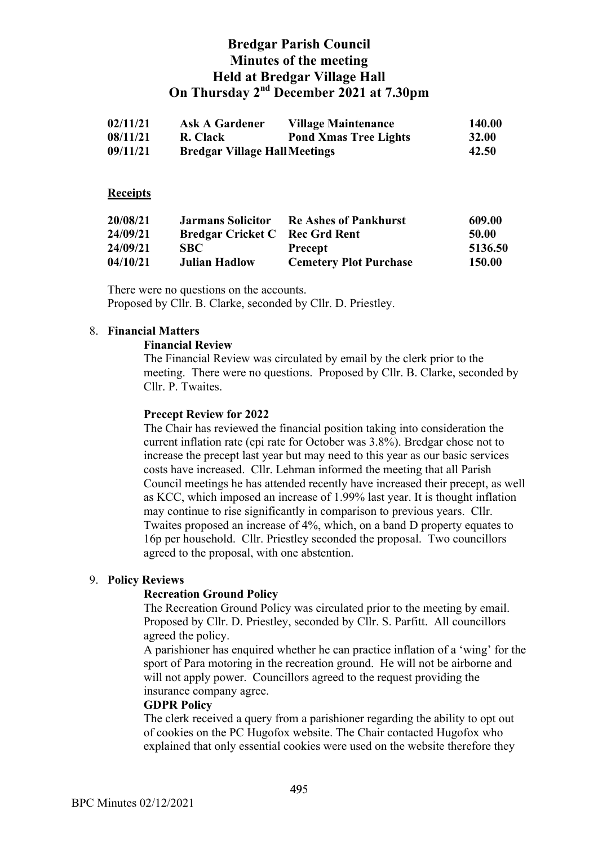| 02/11/21 | <b>Ask A Gardener</b>                | <b>Village Maintenance</b>   | 140.00       |
|----------|--------------------------------------|------------------------------|--------------|
| 08/11/21 | R. Clack                             | <b>Pond Xmas Tree Lights</b> | <b>32.00</b> |
| 09/11/21 | <b>Bredgar Village Hall Meetings</b> |                              | 42.50        |

### **Receipts**

| 20/08/21 | <b>Jarmans Solicitor</b>              | <b>Re Ashes of Pankhurst</b>  | 609.00  |
|----------|---------------------------------------|-------------------------------|---------|
| 24/09/21 | <b>Bredgar Cricket C</b> Rec Grd Rent |                               | 50.00   |
| 24/09/21 | <b>SBC</b>                            | <b>Precept</b>                | 5136.50 |
| 04/10/21 | <b>Julian Hadlow</b>                  | <b>Cemetery Plot Purchase</b> | 150.00  |

There were no questions on the accounts. Proposed by Cllr. B. Clarke, seconded by Cllr. D. Priestley.

## 8. **Financial Matters**

### **Financial Review**

The Financial Review was circulated by email by the clerk prior to the meeting. There were no questions. Proposed by Cllr. B. Clarke, seconded by Cllr. P. Twaites.

### **Precept Review for 2022**

The Chair has reviewed the financial position taking into consideration the current inflation rate (cpi rate for October was 3.8%). Bredgar chose not to increase the precept last year but may need to this year as our basic services costs have increased. Cllr. Lehman informed the meeting that all Parish Council meetings he has attended recently have increased their precept, as well as KCC, which imposed an increase of 1.99% last year. It is thought inflation may continue to rise significantly in comparison to previous years. Cllr. Twaites proposed an increase of 4%, which, on a band D property equates to 16p per household. Cllr. Priestley seconded the proposal. Two councillors agreed to the proposal, with one abstention.

## 9. **Policy Reviews**

### **Recreation Ground Policy**

The Recreation Ground Policy was circulated prior to the meeting by email. Proposed by Cllr. D. Priestley, seconded by Cllr. S. Parfitt. All councillors agreed the policy.

A parishioner has enquired whether he can practice inflation of a 'wing' for the sport of Para motoring in the recreation ground. He will not be airborne and will not apply power. Councillors agreed to the request providing the insurance company agree.

### **GDPR Policy**

The clerk received a query from a parishioner regarding the ability to opt out of cookies on the PC Hugofox website. The Chair contacted Hugofox who explained that only essential cookies were used on the website therefore they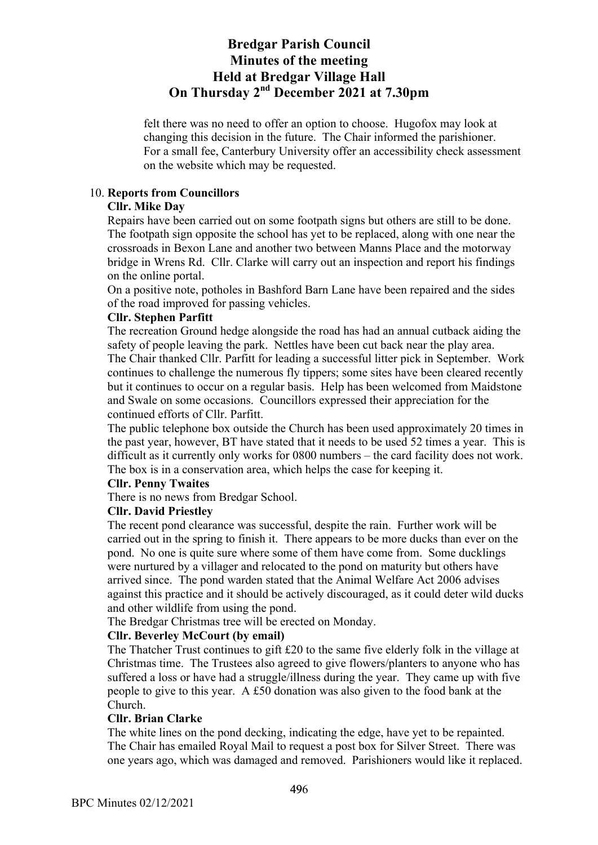felt there was no need to offer an option to choose. Hugofox may look at changing this decision in the future. The Chair informed the parishioner. For a small fee, Canterbury University offer an accessibility check assessment on the website which may be requested.

## 10. **Reports from Councillors**

## **Cllr. Mike Day**

Repairs have been carried out on some footpath signs but others are still to be done. The footpath sign opposite the school has yet to be replaced, along with one near the crossroads in Bexon Lane and another two between Manns Place and the motorway bridge in Wrens Rd. Cllr. Clarke will carry out an inspection and report his findings on the online portal.

On a positive note, potholes in Bashford Barn Lane have been repaired and the sides of the road improved for passing vehicles.

## **Cllr. Stephen Parfitt**

The recreation Ground hedge alongside the road has had an annual cutback aiding the safety of people leaving the park. Nettles have been cut back near the play area.

The Chair thanked Cllr. Parfitt for leading a successful litter pick in September. Work continues to challenge the numerous fly tippers; some sites have been cleared recently but it continues to occur on a regular basis. Help has been welcomed from Maidstone and Swale on some occasions. Councillors expressed their appreciation for the continued efforts of Cllr. Parfitt.

The public telephone box outside the Church has been used approximately 20 times in the past year, however, BT have stated that it needs to be used 52 times a year. This is difficult as it currently only works for 0800 numbers – the card facility does not work. The box is in a conservation area, which helps the case for keeping it.

### **Cllr. Penny Twaites**

There is no news from Bredgar School.

## **Cllr. David Priestley**

The recent pond clearance was successful, despite the rain. Further work will be carried out in the spring to finish it. There appears to be more ducks than ever on the pond. No one is quite sure where some of them have come from. Some ducklings were nurtured by a villager and relocated to the pond on maturity but others have arrived since. The pond warden stated that the Animal Welfare Act 2006 advises against this practice and it should be actively discouraged, as it could deter wild ducks and other wildlife from using the pond.

The Bredgar Christmas tree will be erected on Monday.

## **Cllr. Beverley McCourt (by email)**

The Thatcher Trust continues to gift £20 to the same five elderly folk in the village at Christmas time. The Trustees also agreed to give flowers/planters to anyone who has suffered a loss or have had a struggle/illness during the year. They came up with five people to give to this year. A £50 donation was also given to the food bank at the Church.

### **Cllr. Brian Clarke**

The white lines on the pond decking, indicating the edge, have yet to be repainted. The Chair has emailed Royal Mail to request a post box for Silver Street. There was one years ago, which was damaged and removed. Parishioners would like it replaced.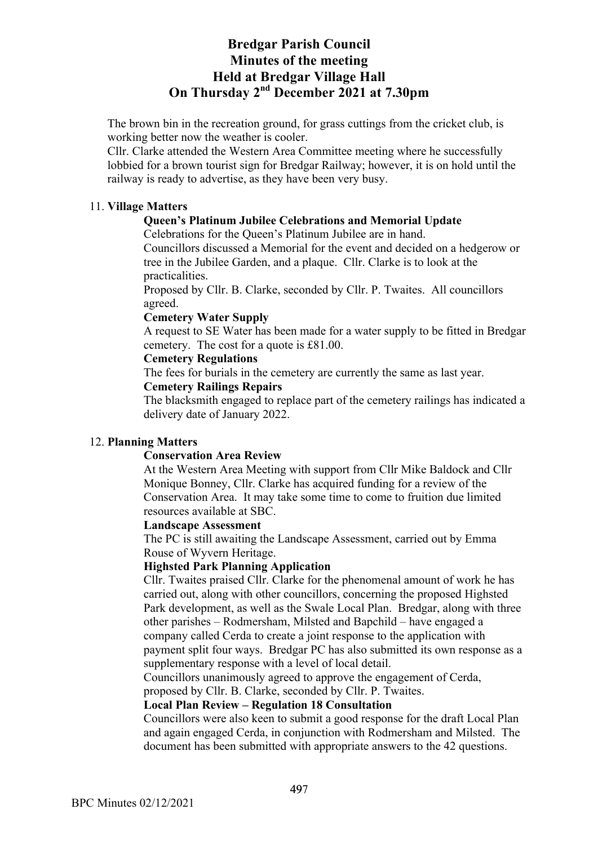The brown bin in the recreation ground, for grass cuttings from the cricket club, is working better now the weather is cooler.

Cllr. Clarke attended the Western Area Committee meeting where he successfully lobbied for a brown tourist sign for Bredgar Railway; however, it is on hold until the railway is ready to advertise, as they have been very busy.

## 11. **Village Matters**

## **Queen's Platinum Jubilee Celebrations and Memorial Update**

Celebrations for the Queen's Platinum Jubilee are in hand.

Councillors discussed a Memorial for the event and decided on a hedgerow or tree in the Jubilee Garden, and a plaque. Cllr. Clarke is to look at the practicalities.

Proposed by Cllr. B. Clarke, seconded by Cllr. P. Twaites. All councillors agreed.

### **Cemetery Water Supply**

A request to SE Water has been made for a water supply to be fitted in Bredgar cemetery. The cost for a quote is £81.00.

### **Cemetery Regulations**

The fees for burials in the cemetery are currently the same as last year.

### **Cemetery Railings Repairs**

The blacksmith engaged to replace part of the cemetery railings has indicated a delivery date of January 2022.

## 12. **Planning Matters**

### **Conservation Area Review**

At the Western Area Meeting with support from Cllr Mike Baldock and Cllr Monique Bonney, Cllr. Clarke has acquired funding for a review of the Conservation Area. It may take some time to come to fruition due limited resources available at SBC.

### **Landscape Assessment**

The PC is still awaiting the Landscape Assessment, carried out by Emma Rouse of Wyvern Heritage.

### **Highsted Park Planning Application**

Cllr. Twaites praised Cllr. Clarke for the phenomenal amount of work he has carried out, along with other councillors, concerning the proposed Highsted Park development, as well as the Swale Local Plan. Bredgar, along with three other parishes – Rodmersham, Milsted and Bapchild – have engaged a company called Cerda to create a joint response to the application with payment split four ways. Bredgar PC has also submitted its own response as a supplementary response with a level of local detail.

Councillors unanimously agreed to approve the engagement of Cerda, proposed by Cllr. B. Clarke, seconded by Cllr. P. Twaites.

## **Local Plan Review – Regulation 18 Consultation**

Councillors were also keen to submit a good response for the draft Local Plan and again engaged Cerda, in conjunction with Rodmersham and Milsted. The document has been submitted with appropriate answers to the 42 questions.